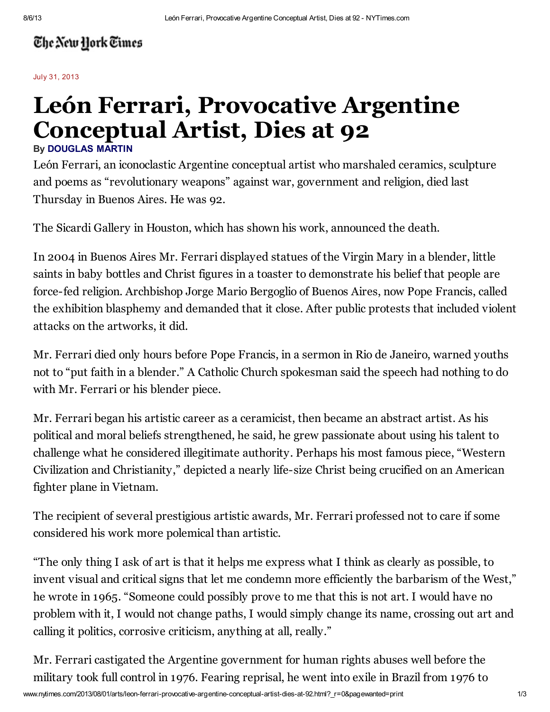## The New York Times

July 31, 2013

## León Ferrari, Provocative Argentine Conceptual Artist, Dies at 92 By [DOUGLAS MARTIN](http://topics.nytimes.com/top/reference/timestopics/people/m/douglas_martin/index.html)

León Ferrari, an iconoclastic Argentine conceptual artist who marshaled ceramics, sculpture and poems as "revolutionary weapons" against war, government and religion, died last Thursday in Buenos Aires. He was 92.

The Sicardi Gallery in Houston, which has shown his work, announced the death.

In 2004 in Buenos Aires Mr. Ferrari displayed statues of the Virgin Mary in a blender, little saints in baby bottles and Christ figures in a toaster to demonstrate his belief that people are force-fed religion. Archbishop Jorge Mario Bergoglio of Buenos Aires, now Pope Francis, called the exhibition blasphemy and demanded that it close. After public protests that included violent attacks on the artworks, it did.

Mr. Ferrari died only hours before Pope Francis, in a sermon in Rio de Janeiro, warned youths not to "put faith in a blender." A Catholic Church spokesman said the speech had nothing to do with Mr. Ferrari or his blender piece.

Mr. Ferrari began his artistic career as a ceramicist, then became an abstract artist. As his political and moral beliefs strengthened, he said, he grew passionate about using his talent to challenge what he considered illegitimate authority. Perhaps his most famous piece, "Western Civilization and Christianity," depicted a nearly life-size Christ being crucified on an American fighter plane in Vietnam.

The recipient of several prestigious artistic awards, Mr. Ferrari professed not to care if some considered his work more polemical than artistic.

"The only thing I ask of art is that it helps me express what I think as clearly as possible, to invent visual and critical signs that let me condemn more efficiently the barbarism of the West," he wrote in 1965. "Someone could possibly prove to me that this is not art. I would have no problem with it, I would not change paths, I would simply change its name, crossing out art and calling it politics, corrosive criticism, anything at all, really."

Mr. Ferrari castigated the Argentine government for human rights abuses well before the military took full control in 1976. Fearing reprisal, he went into exile in Brazil from 1976 to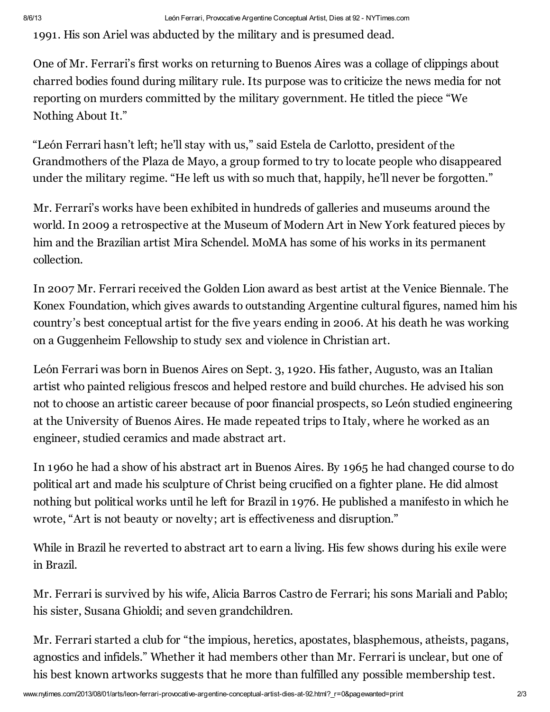1991. His son Ariel was abducted by the military and is presumed dead.

Nothing About It." reporting on murders committed by the military government. He titled the piece "We One of Mr. Ferrari's first works on returning to Buenos Aires was a collage of clippings about charred bodies found during military rule. Its purpose was to criticize the news media for not

"León Ferrari hasn't left; he'll stay with us," said Estela de Carlotto, president of the Grandmothers of the Plaza de Mayo, a group formed to try to locate people who disappeared under the military regime. "He left us with so much that, happily, he'll never be forgotten."

Mr. Ferrari's works have been exhibited in hundreds of galleries and museums around the world. In 2009 a retrospective at the Museum of Modern Art in New York featured pieces by him and the Brazilian artist Mira Schendel. MoMA has some of his works in its permanent collection.

In 2007 Mr. Ferrari received the Golden Lion award as best artist at the Venice Biennale. The Konex Foundation, which gives awards to outstanding Argentine cultural figures, named him his country's best conceptual artist for the five years ending in 2006. At his death he was working on a Guggenheim Fellowship to study sex and violence in Christian art.

León Ferrari was born in Buenos Aires on Sept. 3, 1920. His father, Augusto, was an Italian artist who painted religious frescos and helped restore and build churches. He advised his son not to choose an artistic career because of poor financial prospects, so León studied engineering at the University of Buenos Aires. He made repeated trips to Italy, where he worked as an engineer, studied ceramics and made abstract art.

In 1960 he had a show of his abstract art in Buenos Aires. By 1965 he had changed course to do political art and made his sculpture of Christ being crucified on a fighter plane. He did almost nothing but political works until he left for Brazil in 1976. He published a manifesto in which he wrote, "Art is not beauty or novelty; art is effectiveness and disruption."

While in Brazil he reverted to abstract art to earn a living. His few shows during his exile were in Brazil.

Mr. Ferrari is survived by his wife, Alicia Barros Castro de Ferrari; his sons Mariali and Pablo; his sister, Susana Ghioldi; and seven grandchildren.

Mr. Ferrari started a club for "the impious, heretics, apostates, blasphemous, atheists, pagans, agnostics and infidels." Whether it had members other than Mr. Ferrari is unclear, but one of his best known artworks suggests that he more than fulfilled any possible membership test.